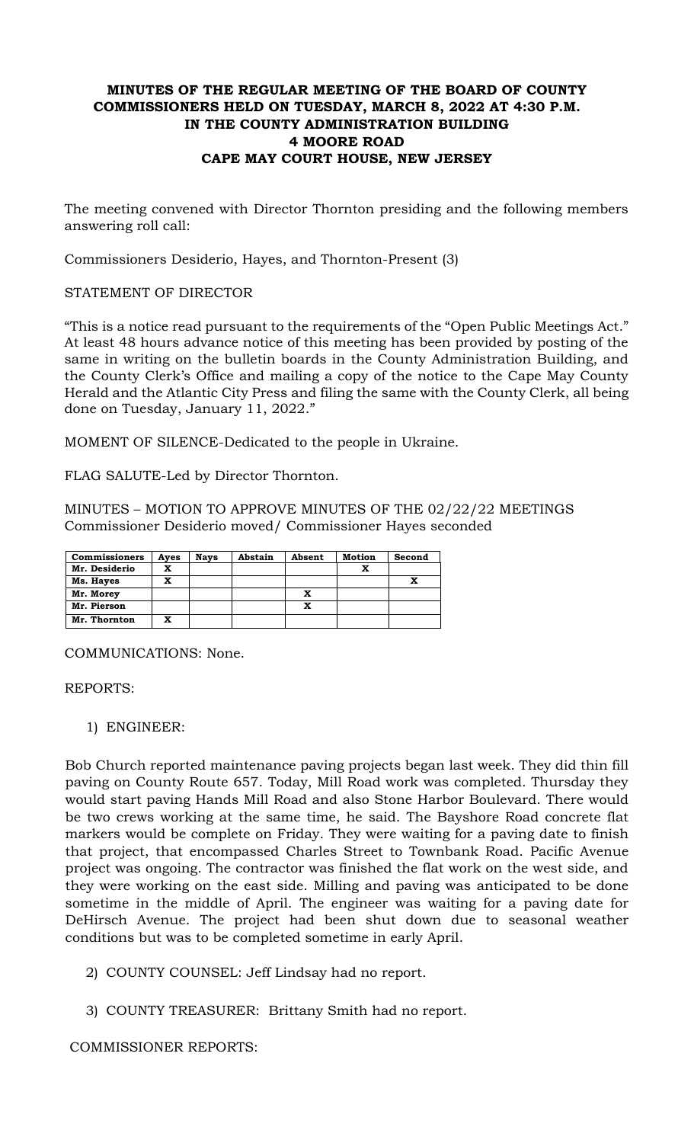# **MINUTES OF THE REGULAR MEETING OF THE BOARD OF COUNTY COMMISSIONERS HELD ON TUESDAY, MARCH 8, 2022 AT 4:30 P.M. IN THE COUNTY ADMINISTRATION BUILDING 4 MOORE ROAD CAPE MAY COURT HOUSE, NEW JERSEY**

The meeting convened with Director Thornton presiding and the following members answering roll call:

Commissioners Desiderio, Hayes, and Thornton-Present (3)

### STATEMENT OF DIRECTOR

"This is a notice read pursuant to the requirements of the "Open Public Meetings Act." At least 48 hours advance notice of this meeting has been provided by posting of the same in writing on the bulletin boards in the County Administration Building, and the County Clerk's Office and mailing a copy of the notice to the Cape May County Herald and the Atlantic City Press and filing the same with the County Clerk, all being done on Tuesday, January 11, 2022."

MOMENT OF SILENCE-Dedicated to the people in Ukraine.

FLAG SALUTE-Led by Director Thornton.

MINUTES – MOTION TO APPROVE MINUTES OF THE 02/22/22 MEETINGS Commissioner Desiderio moved/ Commissioner Hayes seconded

| <b>Commissioners</b> | Ayes | <b>Nays</b> | Abstain | Absent | Motion | Second |
|----------------------|------|-------------|---------|--------|--------|--------|
| Mr. Desiderio        | x    |             |         |        |        |        |
| Ms. Hayes            | x    |             |         |        |        |        |
| Mr. Morey            |      |             |         | x      |        |        |
| Mr. Pierson          |      |             |         | x      |        |        |
| Mr. Thornton         | x    |             |         |        |        |        |

COMMUNICATIONS: None.

## REPORTS:

1) ENGINEER:

Bob Church reported maintenance paving projects began last week. They did thin fill paving on County Route 657. Today, Mill Road work was completed. Thursday they would start paving Hands Mill Road and also Stone Harbor Boulevard. There would be two crews working at the same time, he said. The Bayshore Road concrete flat markers would be complete on Friday. They were waiting for a paving date to finish that project, that encompassed Charles Street to Townbank Road. Pacific Avenue project was ongoing. The contractor was finished the flat work on the west side, and they were working on the east side. Milling and paving was anticipated to be done sometime in the middle of April. The engineer was waiting for a paving date for DeHirsch Avenue. The project had been shut down due to seasonal weather conditions but was to be completed sometime in early April.

- 2) COUNTY COUNSEL: Jeff Lindsay had no report.
- 3) COUNTY TREASURER: Brittany Smith had no report.

COMMISSIONER REPORTS: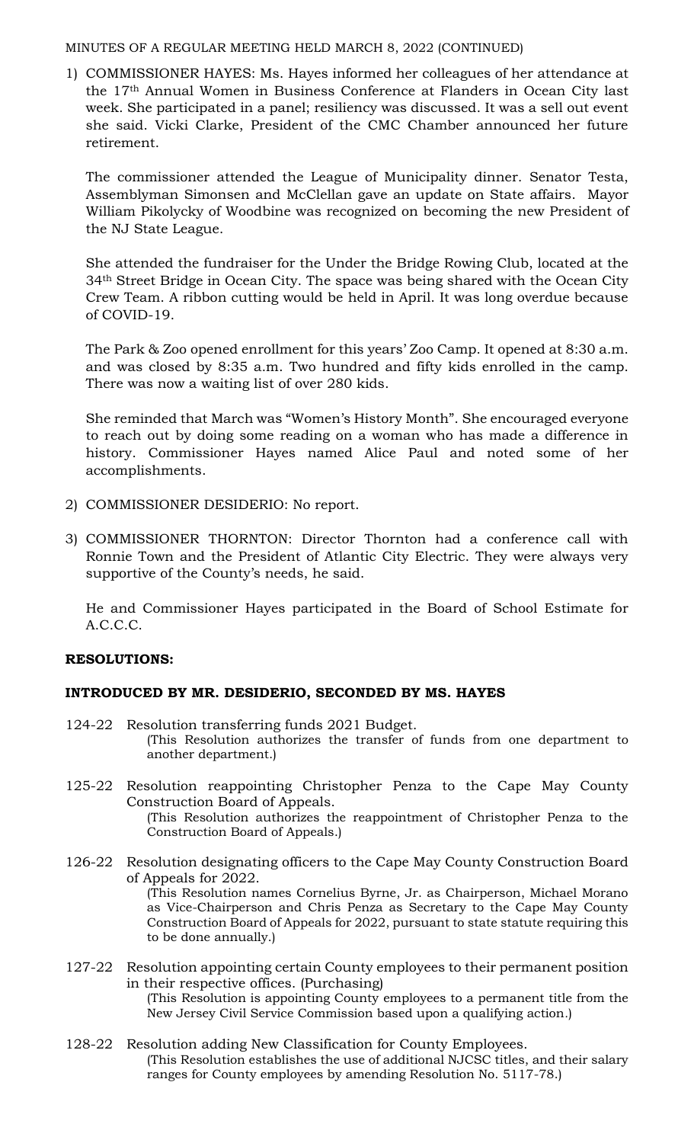## MINUTES OF A REGULAR MEETING HELD MARCH 8, 2022 (CONTINUED)

1) COMMISSIONER HAYES: Ms. Hayes informed her colleagues of her attendance at the 17th Annual Women in Business Conference at Flanders in Ocean City last week. She participated in a panel; resiliency was discussed. It was a sell out event she said. Vicki Clarke, President of the CMC Chamber announced her future retirement.

The commissioner attended the League of Municipality dinner. Senator Testa, Assemblyman Simonsen and McClellan gave an update on State affairs. Mayor William Pikolycky of Woodbine was recognized on becoming the new President of the NJ State League.

She attended the fundraiser for the Under the Bridge Rowing Club, located at the 34th Street Bridge in Ocean City. The space was being shared with the Ocean City Crew Team. A ribbon cutting would be held in April. It was long overdue because of COVID-19.

The Park & Zoo opened enrollment for this years' Zoo Camp. It opened at 8:30 a.m. and was closed by 8:35 a.m. Two hundred and fifty kids enrolled in the camp. There was now a waiting list of over 280 kids.

She reminded that March was "Women's History Month". She encouraged everyone to reach out by doing some reading on a woman who has made a difference in history. Commissioner Hayes named Alice Paul and noted some of her accomplishments.

- 2) COMMISSIONER DESIDERIO: No report.
- 3) COMMISSIONER THORNTON: Director Thornton had a conference call with Ronnie Town and the President of Atlantic City Electric. They were always very supportive of the County's needs, he said.

He and Commissioner Hayes participated in the Board of School Estimate for A.C.C.C.

# **RESOLUTIONS:**

# **INTRODUCED BY MR. DESIDERIO, SECONDED BY MS. HAYES**

- 124-22 Resolution transferring funds 2021 Budget. (This Resolution authorizes the transfer of funds from one department to another department.)
- 125-22 Resolution reappointing Christopher Penza to the Cape May County Construction Board of Appeals. (This Resolution authorizes the reappointment of Christopher Penza to the Construction Board of Appeals.)
- 126-22 Resolution designating officers to the Cape May County Construction Board of Appeals for 2022. (This Resolution names Cornelius Byrne, Jr. as Chairperson, Michael Morano as Vice-Chairperson and Chris Penza as Secretary to the Cape May County Construction Board of Appeals for 2022, pursuant to state statute requiring this to be done annually.)
- 127-22 Resolution appointing certain County employees to their permanent position in their respective offices. (Purchasing) (This Resolution is appointing County employees to a permanent title from the New Jersey Civil Service Commission based upon a qualifying action*.*)
- 128-22 Resolution adding New Classification for County Employees. (This Resolution establishes the use of additional NJCSC titles, and their salary ranges for County employees by amending Resolution No. 5117-78.)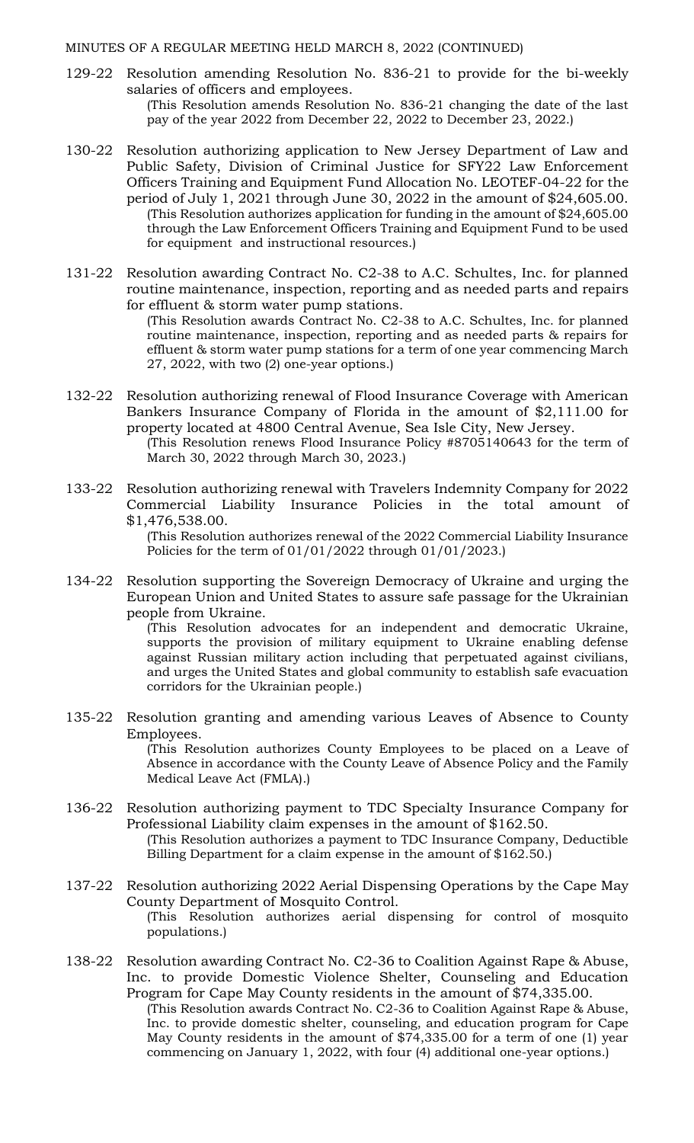#### MINUTES OF A REGULAR MEETING HELD MARCH 8, 2022 (CONTINUED)

- 129-22 Resolution amending Resolution No. 836-21 to provide for the bi-weekly salaries of officers and employees. (This Resolution amends Resolution No. 836-21 changing the date of the last pay of the year 2022 from December 22, 2022 to December 23, 2022.)
- 130-22 Resolution authorizing application to New Jersey Department of Law and Public Safety, Division of Criminal Justice for SFY22 Law Enforcement Officers Training and Equipment Fund Allocation No. LEOTEF-04-22 for the period of July 1, 2021 through June 30, 2022 in the amount of \$24,605.00. (This Resolution authorizes application for funding in the amount of \$24,605.00 through the Law Enforcement Officers Training and Equipment Fund to be used for equipment and instructional resources.)
- 131-22 Resolution awarding Contract No. C2-38 to A.C. Schultes, Inc. for planned routine maintenance, inspection, reporting and as needed parts and repairs for effluent & storm water pump stations.

(This Resolution awards Contract No. C2-38 to A.C. Schultes, Inc. for planned routine maintenance, inspection, reporting and as needed parts & repairs for effluent & storm water pump stations for a term of one year commencing March 27, 2022, with two (2) one-year options.)

132-22 Resolution authorizing renewal of Flood Insurance Coverage with American Bankers Insurance Company of Florida in the amount of \$2,111.00 for property located at 4800 Central Avenue, Sea Isle City, New Jersey.

133-22 Resolution authorizing renewal with Travelers Indemnity Company for 2022 Commercial Liability Insurance Policies in the total amount of \$1,476,538.00.

> (This Resolution authorizes renewal of the 2022 Commercial Liability Insurance Policies for the term of 01/01/2022 through 01/01/2023.)

134-22 Resolution supporting the Sovereign Democracy of Ukraine and urging the European Union and United States to assure safe passage for the Ukrainian people from Ukraine.

> (This Resolution advocates for an independent and democratic Ukraine, supports the provision of military equipment to Ukraine enabling defense against Russian military action including that perpetuated against civilians, and urges the United States and global community to establish safe evacuation corridors for the Ukrainian people.)

- 135-22 Resolution granting and amending various Leaves of Absence to County Employees. (This Resolution authorizes County Employees to be placed on a Leave of Absence in accordance with the County Leave of Absence Policy and the Family Medical Leave Act (FMLA).)
- 136-22 Resolution authorizing payment to TDC Specialty Insurance Company for Professional Liability claim expenses in the amount of \$162.50. (This Resolution authorizes a payment to TDC Insurance Company, Deductible Billing Department for a claim expense in the amount of \$162.50.)
- 137-22 Resolution authorizing 2022 Aerial Dispensing Operations by the Cape May County Department of Mosquito Control. (This Resolution authorizes aerial dispensing for control of mosquito populations.)
- 138-22 Resolution awarding Contract No. C2-36 to Coalition Against Rape & Abuse, Inc. to provide Domestic Violence Shelter, Counseling and Education Program for Cape May County residents in the amount of \$74,335.00. (This Resolution awards Contract No. C2-36 to Coalition Against Rape & Abuse, Inc. to provide domestic shelter, counseling, and education program for Cape May County residents in the amount of \$74,335.00 for a term of one (1) year commencing on January 1, 2022, with four (4) additional one-year options.)

<sup>(</sup>This Resolution renews Flood Insurance Policy #8705140643 for the term of March 30, 2022 through March 30, 2023.)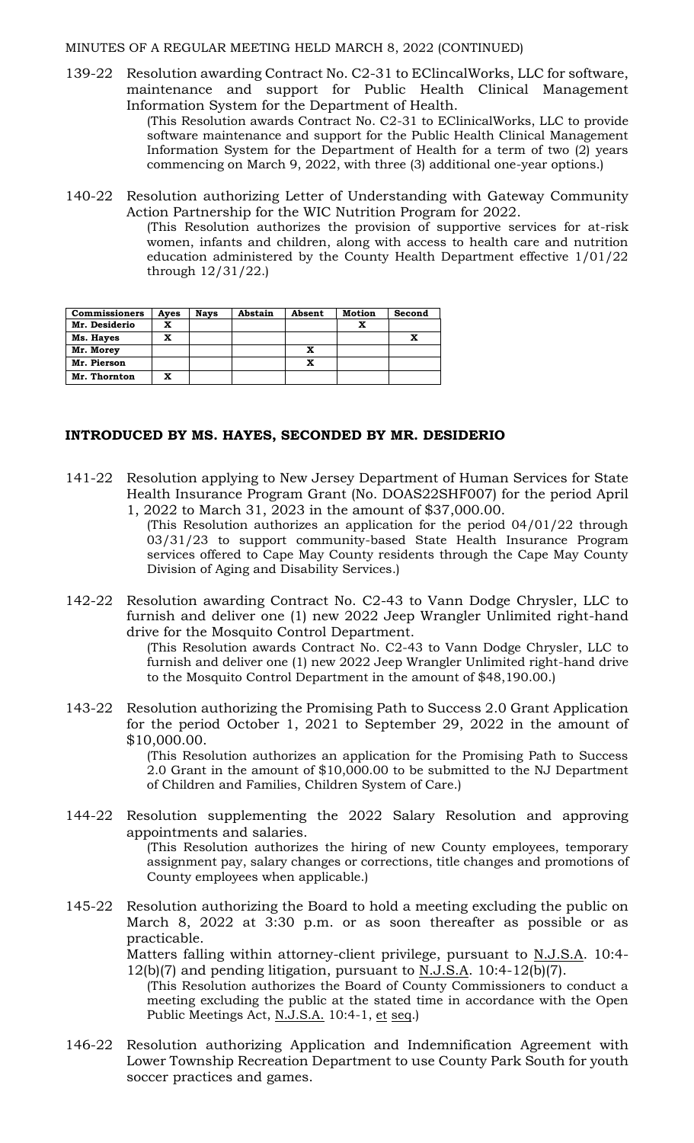MINUTES OF A REGULAR MEETING HELD MARCH 8, 2022 (CONTINUED)

139-22 Resolution awarding Contract No. C2-31 to EClincalWorks, LLC for software, maintenance and support for Public Health Clinical Management Information System for the Department of Health.

(This Resolution awards Contract No. C2-31 to EClinicalWorks, LLC to provide software maintenance and support for the Public Health Clinical Management Information System for the Department of Health for a term of two (2) years commencing on March 9, 2022, with three (3) additional one-year options.)

140-22 Resolution authorizing Letter of Understanding with Gateway Community Action Partnership for the WIC Nutrition Program for 2022.

(This Resolution authorizes the provision of supportive services for at-risk women, infants and children, along with access to health care and nutrition education administered by the County Health Department effective 1/01/22 through 12/31/22.)

| <b>Commissioners</b> | Ayes | <b>Nays</b> | Abstain | Absent | <b>Motion</b> | Second |
|----------------------|------|-------------|---------|--------|---------------|--------|
| Mr. Desiderio        | x    |             |         |        |               |        |
| Ms. Hayes            | x    |             |         |        |               |        |
| Mr. Morey            |      |             |         | x      |               |        |
| Mr. Pierson          |      |             |         | x      |               |        |
| Mr. Thornton         | x    |             |         |        |               |        |

# **INTRODUCED BY MS. HAYES, SECONDED BY MR. DESIDERIO**

- 141-22 Resolution applying to New Jersey Department of Human Services for State Health Insurance Program Grant (No. DOAS22SHF007) for the period April 1, 2022 to March 31, 2023 in the amount of \$37,000.00.
	- (This Resolution authorizes an application for the period 04/01/22 through 03/31/23 to support community-based State Health Insurance Program services offered to Cape May County residents through the Cape May County Division of Aging and Disability Services.)
- 142-22 Resolution awarding Contract No. C2-43 to Vann Dodge Chrysler, LLC to furnish and deliver one (1) new 2022 Jeep Wrangler Unlimited right-hand drive for the Mosquito Control Department.

(This Resolution awards Contract No. C2-43 to Vann Dodge Chrysler, LLC to furnish and deliver one (1) new 2022 Jeep Wrangler Unlimited right-hand drive to the Mosquito Control Department in the amount of \$48,190.00.)

143-22 Resolution authorizing the Promising Path to Success 2.0 Grant Application for the period October 1, 2021 to September 29, 2022 in the amount of \$10,000.00.

(This Resolution authorizes an application for the Promising Path to Success 2.0 Grant in the amount of \$10,000.00 to be submitted to the NJ Department of Children and Families, Children System of Care.)

144-22 Resolution supplementing the 2022 Salary Resolution and approving appointments and salaries.

(This Resolution authorizes the hiring of new County employees, temporary assignment pay, salary changes or corrections, title changes and promotions of County employees when applicable.)

145-22 Resolution authorizing the Board to hold a meeting excluding the public on March 8, 2022 at 3:30 p.m. or as soon thereafter as possible or as practicable.

Matters falling within attorney-client privilege, pursuant to N.J.S.A. 10:4- $12(b)(7)$  and pending litigation, pursuant to N.J.S.A. 10:4-12(b)(7).

- (This Resolution authorizes the Board of County Commissioners to conduct a meeting excluding the public at the stated time in accordance with the Open Public Meetings Act, N.J.S.A. 10:4-1, et seq.)
- 146-22 Resolution authorizing Application and Indemnification Agreement with Lower Township Recreation Department to use County Park South for youth soccer practices and games.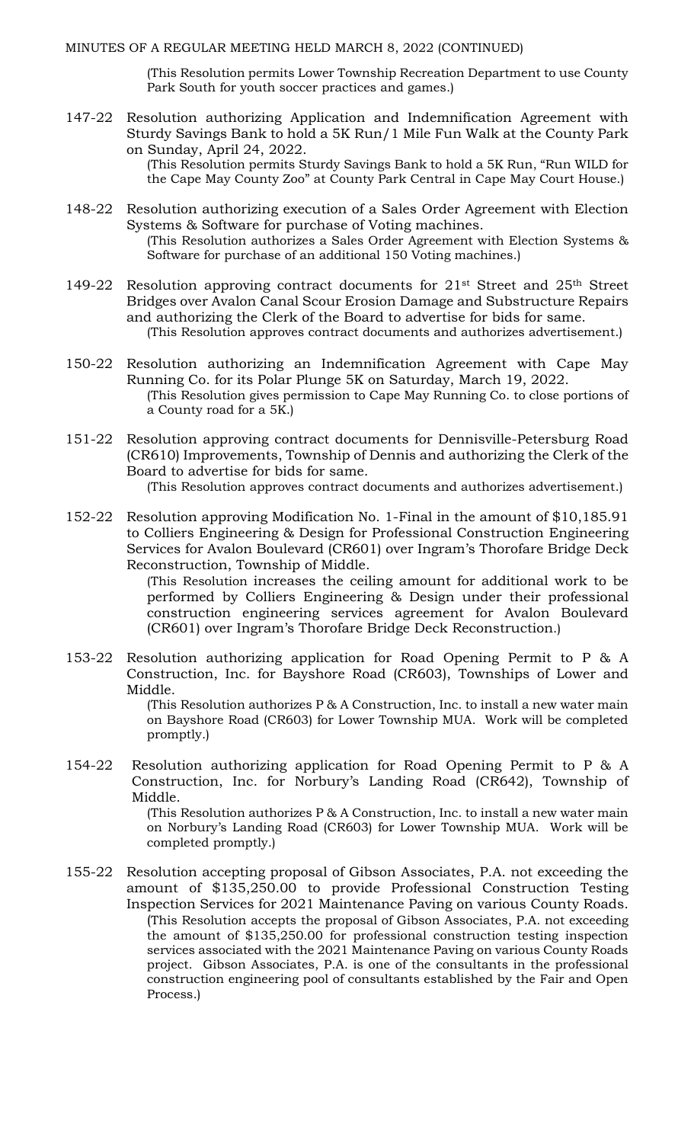(This Resolution permits Lower Township Recreation Department to use County Park South for youth soccer practices and games.)

147-22 Resolution authorizing Application and Indemnification Agreement with Sturdy Savings Bank to hold a 5K Run/1 Mile Fun Walk at the County Park on Sunday, April 24, 2022.

> (This Resolution permits Sturdy Savings Bank to hold a 5K Run, "Run WILD for the Cape May County Zoo" at County Park Central in Cape May Court House.)

- 148-22 Resolution authorizing execution of a Sales Order Agreement with Election Systems & Software for purchase of Voting machines. (This Resolution authorizes a Sales Order Agreement with Election Systems & Software for purchase of an additional 150 Voting machines.)
- 149-22 Resolution approving contract documents for  $21^{st}$  Street and  $25^{th}$  Street Bridges over Avalon Canal Scour Erosion Damage and Substructure Repairs and authorizing the Clerk of the Board to advertise for bids for same. (This Resolution approves contract documents and authorizes advertisement.)
- 150-22 Resolution authorizing an Indemnification Agreement with Cape May Running Co. for its Polar Plunge 5K on Saturday, March 19, 2022. (This Resolution gives permission to Cape May Running Co. to close portions of a County road for a 5K.)
- 151-22 Resolution approving contract documents for Dennisville-Petersburg Road (CR610) Improvements, Township of Dennis and authorizing the Clerk of the Board to advertise for bids for same.

(This Resolution approves contract documents and authorizes advertisement.)

152-22 Resolution approving Modification No. 1-Final in the amount of \$10,185.91 to Colliers Engineering & Design for Professional Construction Engineering Services for Avalon Boulevard (CR601) over Ingram's Thorofare Bridge Deck Reconstruction, Township of Middle.

> (This Resolution increases the ceiling amount for additional work to be performed by Colliers Engineering & Design under their professional construction engineering services agreement for Avalon Boulevard (CR601) over Ingram's Thorofare Bridge Deck Reconstruction.)

153-22 Resolution authorizing application for Road Opening Permit to P & A Construction, Inc. for Bayshore Road (CR603), Townships of Lower and Middle.

> (This Resolution authorizes P & A Construction, Inc. to install a new water main on Bayshore Road (CR603) for Lower Township MUA. Work will be completed promptly.)

154-22 Resolution authorizing application for Road Opening Permit to P & A Construction, Inc. for Norbury's Landing Road (CR642), Township of Middle.

(This Resolution authorizes P & A Construction, Inc. to install a new water main on Norbury's Landing Road (CR603) for Lower Township MUA. Work will be completed promptly.)

155-22 Resolution accepting proposal of Gibson Associates, P.A. not exceeding the amount of \$135,250.00 to provide Professional Construction Testing Inspection Services for 2021 Maintenance Paving on various County Roads. (This Resolution accepts the proposal of Gibson Associates, P.A. not exceeding the amount of \$135,250.00 for professional construction testing inspection services associated with the 2021 Maintenance Paving on various County Roads project. Gibson Associates, P.A. is one of the consultants in the professional construction engineering pool of consultants established by the Fair and Open Process.)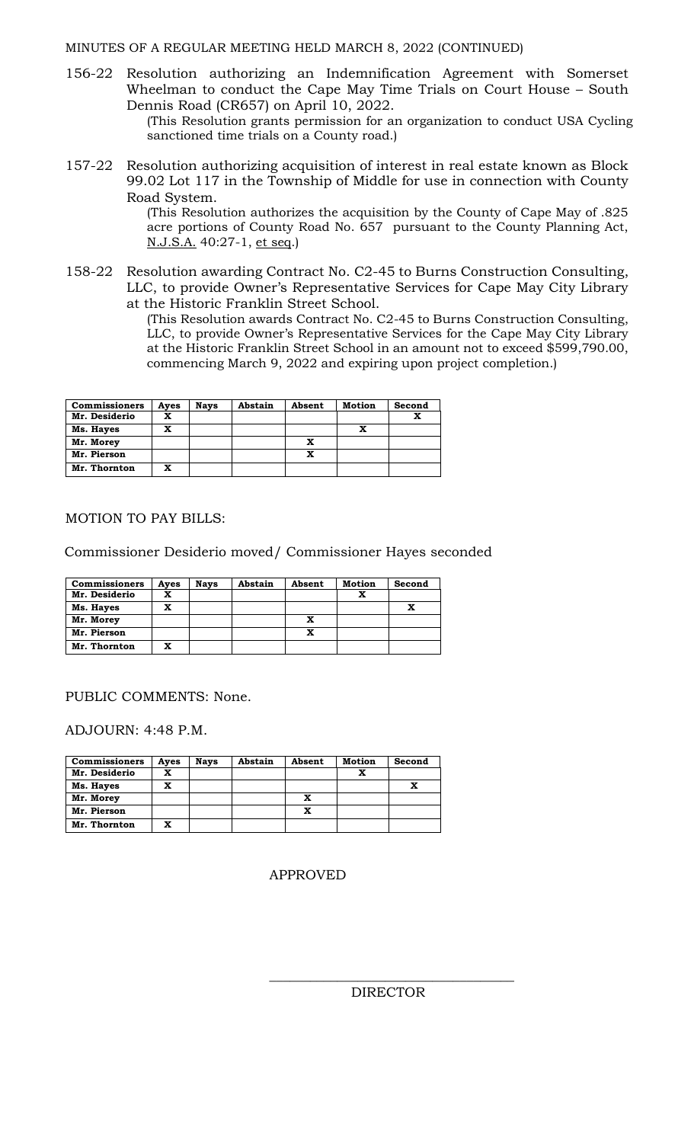156-22 Resolution authorizing an Indemnification Agreement with Somerset Wheelman to conduct the Cape May Time Trials on Court House – South Dennis Road (CR657) on April 10, 2022.

> (This Resolution grants permission for an organization to conduct USA Cycling sanctioned time trials on a County road.)

157-22 Resolution authorizing acquisition of interest in real estate known as Block 99.02 Lot 117 in the Township of Middle for use in connection with County Road System.

> (This Resolution authorizes the acquisition by the County of Cape May of .825 acre portions of County Road No. 657 pursuant to the County Planning Act, N.J.S.A. 40:27-1, et seq.)

158-22 Resolution awarding Contract No. C2-45 to Burns Construction Consulting, LLC, to provide Owner's Representative Services for Cape May City Library at the Historic Franklin Street School.

(This Resolution awards Contract No. C2-45 to Burns Construction Consulting, LLC, to provide Owner's Representative Services for the Cape May City Library at the Historic Franklin Street School in an amount not to exceed \$599,790.00, commencing March 9, 2022 and expiring upon project completion.)

| <b>Commissioners</b> | Aves | <b>Nays</b> | Abstain | Absent | <b>Motion</b> | Second |
|----------------------|------|-------------|---------|--------|---------------|--------|
| Mr. Desiderio        | x    |             |         |        |               | x      |
| Ms. Hayes            | x    |             |         |        |               |        |
| Mr. Morey            |      |             |         | x      |               |        |
| Mr. Pierson          |      |             |         | x      |               |        |
| Mr. Thornton         |      |             |         |        |               |        |

# MOTION TO PAY BILLS:

Commissioner Desiderio moved/ Commissioner Hayes seconded

| <b>Commissioners</b> | Ayes | <b>Nays</b> | Abstain | Absent | <b>Motion</b> | Second |
|----------------------|------|-------------|---------|--------|---------------|--------|
| Mr. Desiderio        | x    |             |         |        |               |        |
| Ms. Hayes            | x    |             |         |        |               |        |
| Mr. Morey            |      |             |         |        |               |        |
| Mr. Pierson          |      |             |         |        |               |        |
| Mr. Thornton         | x    |             |         |        |               |        |

## PUBLIC COMMENTS: None.

ADJOURN: 4:48 P.M.

| <b>Commissioners</b> | Ayes | <b>Nays</b> | Abstain | Absent | Motion | Second |
|----------------------|------|-------------|---------|--------|--------|--------|
| Mr. Desiderio        | x    |             |         |        | x      |        |
| Ms. Hayes            | x    |             |         |        |        |        |
| Mr. Morey            |      |             |         | x      |        |        |
| Mr. Pierson          |      |             |         | x      |        |        |
| Mr. Thornton         | x    |             |         |        |        |        |

## APPROVED

DIRECTOR

\_\_\_\_\_\_\_\_\_\_\_\_\_\_\_\_\_\_\_\_\_\_\_\_\_\_\_\_\_\_\_\_\_\_\_\_